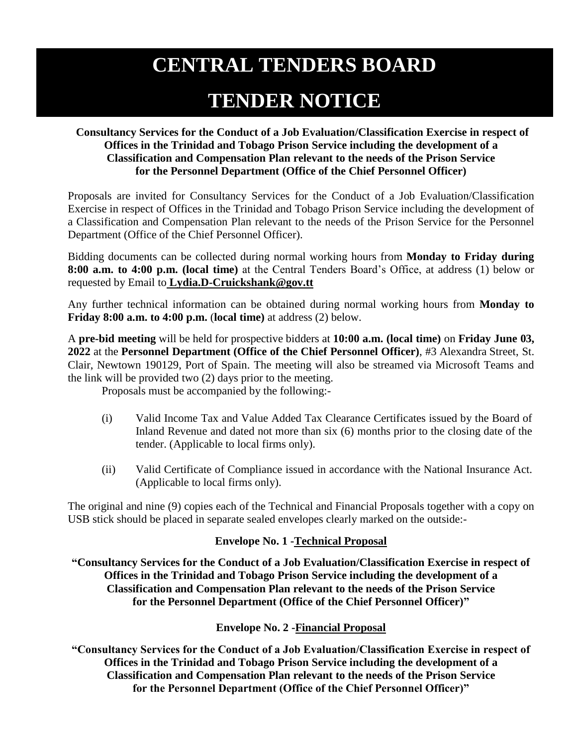# **CENTRAL TENDERS BOARD**

# **TENDER NOTICE**

## **Consultancy Services for the Conduct of a Job Evaluation/Classification Exercise in respect of Offices in the Trinidad and Tobago Prison Service including the development of a Classification and Compensation Plan relevant to the needs of the Prison Service for the Personnel Department (Office of the Chief Personnel Officer)**

Proposals are invited for Consultancy Services for the Conduct of a Job Evaluation/Classification Exercise in respect of Offices in the Trinidad and Tobago Prison Service including the development of a Classification and Compensation Plan relevant to the needs of the Prison Service for the Personnel Department (Office of the Chief Personnel Officer).

Bidding documents can be collected during normal working hours from **Monday to Friday during 8:00 a.m. to 4:00 p.m. (local time)** at the Central Tenders Board's Office, at address (1) below or requested by Email to **Lydia.D-Cruickshank@gov.tt**

Any further technical information can be obtained during normal working hours from **Monday to Friday 8:00 a.m. to 4:00 p.m.** (**local time)** at address (2) below.

A **pre-bid meeting** will be held for prospective bidders at **10:00 a.m. (local time)** on **Friday June 03, 2022** at the **Personnel Department (Office of the Chief Personnel Officer)**, #3 Alexandra Street, St. Clair, Newtown 190129, Port of Spain. The meeting will also be streamed via Microsoft Teams and the link will be provided two (2) days prior to the meeting.

Proposals must be accompanied by the following:-

- (i) Valid Income Tax and Value Added Tax Clearance Certificates issued by the Board of Inland Revenue and dated not more than six (6) months prior to the closing date of the tender. (Applicable to local firms only).
- (ii) Valid Certificate of Compliance issued in accordance with the National Insurance Act. (Applicable to local firms only).

The original and nine (9) copies each of the Technical and Financial Proposals together with a copy on USB stick should be placed in separate sealed envelopes clearly marked on the outside:-

## **Envelope No. 1 -Technical Proposal**

**"Consultancy Services for the Conduct of a Job Evaluation/Classification Exercise in respect of Offices in the Trinidad and Tobago Prison Service including the development of a Classification and Compensation Plan relevant to the needs of the Prison Service for the Personnel Department (Office of the Chief Personnel Officer)"**

## **Envelope No. 2 -Financial Proposal**

**"Consultancy Services for the Conduct of a Job Evaluation/Classification Exercise in respect of Offices in the Trinidad and Tobago Prison Service including the development of a Classification and Compensation Plan relevant to the needs of the Prison Service for the Personnel Department (Office of the Chief Personnel Officer)"**